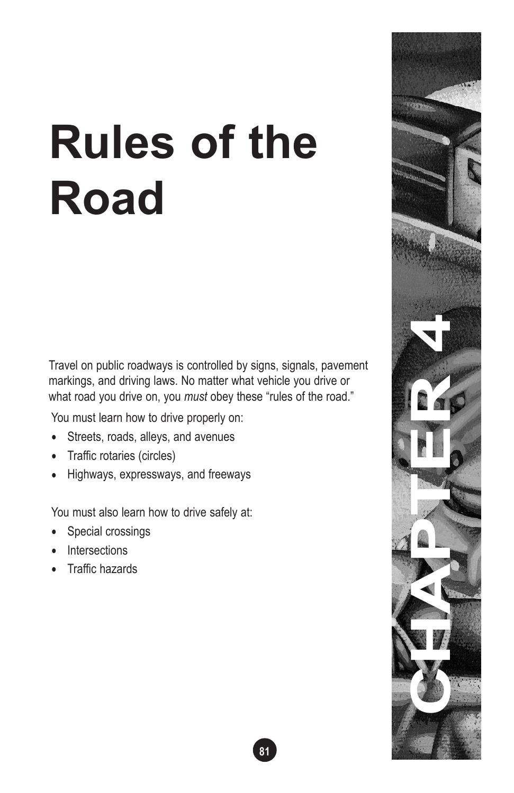# **Rules of the Road**

Travel on public roadways is controlled by signs, signals, pavement markings, and driving laws. No matter what vehicle you drive or what road you drive on, you *must* obey these "rules of the road."

You must learn how to drive properly on:

- Streets, roads, alleys, and avenues
- Traffic rotaries (circles)
- Highways, expressways, and freeways

You must also learn how to drive safely at:

- Special crossings
- Intersections
- Traffic hazards

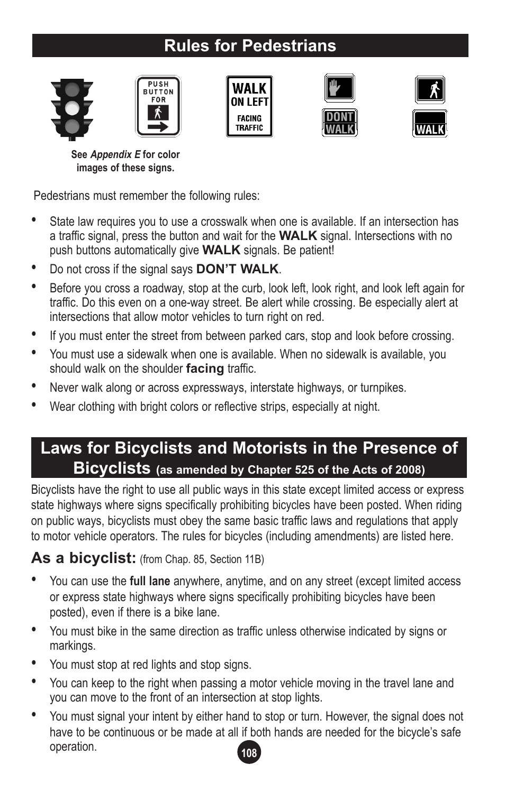# **Rules for Pedestrians**











**See Appendix E for color images of these signs.**

Pedestrians must remember the following rules:

- State law requires you to use a crosswalk when one is available. If an intersection has a traffic signal, press the button and wait for the **WALK** signal. Intersections with no push buttons automatically give **WALK** signals. Be patient!
- Do not cross if the signal says **DON'T WALK**.
- Before you cross a roadway, stop at the curb, look left, look right, and look left again for traffic. Do this even on a one-way street. Be alert while crossing. Be especially alert at intersections that allow motor vehicles to turn right on red.
- If you must enter the street from between parked cars, stop and look before crossing.
- You must use a sidewalk when one is available. When no sidewalk is available, you should walk on the shoulder **facing** traffic.
- Never walk along or across expressways, interstate highways, or turnpikes.
- Wear clothing with bright colors or reflective strips, especially at night.

## **Laws for Bicyclists and Motorists in the Presence of Bicyclists (as amended by Chapter 525 of the Acts of 2008)**

Bicyclists have the right to use all public ways in this state except limited access or express state highways where signs specifically prohibiting bicycles have been posted. When riding on public ways, bicyclists must obey the same basic traffic laws and regulations that apply to motor vehicle operators. The rules for bicycles (including amendments) are listed here.

As a bicyclist: (from Chap. 85, Section 11B)

- You can use the **full lane** anywhere, anytime, and on any street (except limited access or express state highways where signs specifically prohibiting bicycles have been posted), even if there is a bike lane.
- You must bike in the same direction as traffic unless otherwise indicated by signs or markings.
- You must stop at red lights and stop signs.
- You can keep to the right when passing a motor vehicle moving in the travel lane and you can move to the front of an intersection at stop lights.
- **108** • You must signal your intent by either hand to stop or turn. However, the signal does not have to be continuous or be made at all if both hands are needed for the bicycle's safe operation.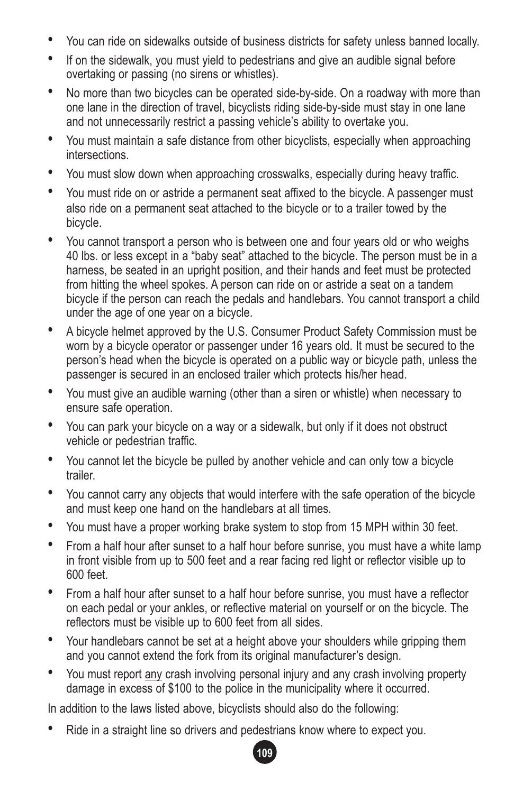- You can ride on sidewalks outside of business districts for safety unless banned locally.
- If on the sidewalk, you must yield to pedestrians and give an audible signal before overtaking or passing (no sirens or whistles).
- No more than two bicycles can be operated side-by-side. On a roadway with more than one lane in the direction of travel, bicyclists riding side-by-side must stay in one lane and not unnecessarily restrict a passing vehicle's ability to overtake you.
- You must maintain a safe distance from other bicyclists, especially when approaching intersections.
- You must slow down when approaching crosswalks, especially during heavy traffic.
- You must ride on or astride a permanent seat affixed to the bicycle. A passenger must also ride on a permanent seat attached to the bicycle or to a trailer towed by the bicycle.
- You cannot transport a person who is between one and four years old or who weighs 40 lbs. or less except in a "baby seat" attached to the bicycle. The person must be in a harness, be seated in an upright position, and their hands and feet must be protected from hitting the wheel spokes. A person can ride on or astride a seat on a tandem bicycle if the person can reach the pedals and handlebars. You cannot transport a child under the age of one year on a bicycle.
- A bicycle helmet approved by the U.S. Consumer Product Safety Commission must be worn by a bicycle operator or passenger under 16 years old. It must be secured to the person's head when the bicycle is operated on a public way or bicycle path, unless the passenger is secured in an enclosed trailer which protects his/her head.
- You must give an audible warning (other than a siren or whistle) when necessary to ensure safe operation.
- You can park your bicycle on a way or a sidewalk, but only if it does not obstruct vehicle or pedestrian traffic.
- You cannot let the bicycle be pulled by another vehicle and can only tow a bicycle trailer.
- You cannot carry any objects that would interfere with the safe operation of the bicycle and must keep one hand on the handlebars at all times.
- You must have a proper working brake system to stop from 15 MPH within 30 feet.
- From a half hour after sunset to a half hour before sunrise, you must have a white lamp in front visible from up to 500 feet and a rear facing red light or reflector visible up to 600 feet.
- From a half hour after sunset to a half hour before sunrise, you must have a reflector on each pedal or your ankles, or reflective material on yourself or on the bicycle. The reflectors must be visible up to 600 feet from all sides.
- Your handlebars cannot be set at a height above your shoulders while gripping them and you cannot extend the fork from its original manufacturer's design.
- You must report any crash involving personal injury and any crash involving property damage in excess of \$100 to the police in the municipality where it occurred.

In addition to the laws listed above, bicyclists should also do the following:

• Ride in a straight line so drivers and pedestrians know where to expect you.

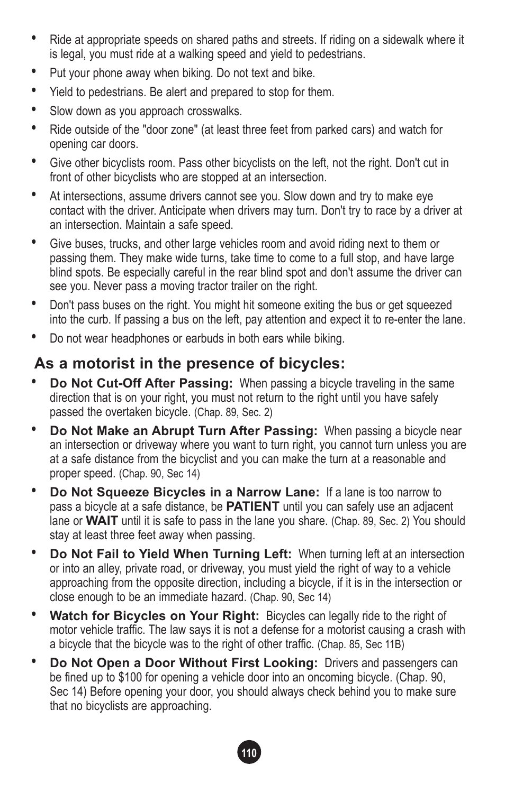- Ride at appropriate speeds on shared paths and streets. If riding on a sidewalk where it is legal, you must ride at a walking speed and yield to pedestrians.
- Put your phone away when biking. Do not text and bike.
- Yield to pedestrians. Be alert and prepared to stop for them.
- Slow down as you approach crosswalks.
- Ride outside of the "door zone" (at least three feet from parked cars) and watch for opening car doors.
- Give other bicyclists room. Pass other bicyclists on the left, not the right. Don't cut in front of other bicyclists who are stopped at an intersection.
- At intersections, assume drivers cannot see you. Slow down and try to make eye contact with the driver. Anticipate when drivers may turn. Don't try to race by a driver at an intersection. Maintain a safe speed.
- Give buses, trucks, and other large vehicles room and avoid riding next to them or passing them. They make wide turns, take time to come to a full stop, and have large blind spots. Be especially careful in the rear blind spot and don't assume the driver can see you. Never pass a moving tractor trailer on the right.
- Don't pass buses on the right. You might hit someone exiting the bus or get squeezed into the curb. If passing a bus on the left, pay attention and expect it to re-enter the lane.
- Do not wear headphones or earbuds in both ears while biking.

#### **As a motorist in the presence of bicycles:**

- **Do Not Cut-Off After Passing:** When passing a bicycle traveling in the same direction that is on your right, you must not return to the right until you have safely passed the overtaken bicycle. (Chap. 89, Sec. 2)
- **Do Not Make an Abrupt Turn After Passing:** When passing a bicycle near an intersection or driveway where you want to turn right, you cannot turn unless you are at a safe distance from the bicyclist and you can make the turn at a reasonable and proper speed. (Chap. 90, Sec 14)
- **Do Not Squeeze Bicycles in a Narrow Lane:** If a lane is too narrow to pass a bicycle at a safe distance, be **PATIENT** until you can safely use an adjacent lane or **WAIT** until it is safe to pass in the lane you share. (Chap. 89, Sec. 2) You should stay at least three feet away when passing.
- **Do Not Fail to Yield When Turning Left:** When turning left at an intersection or into an alley, private road, or driveway, you must yield the right of way to a vehicle approaching from the opposite direction, including a bicycle, if it is in the intersection or close enough to be an immediate hazard. (Chap. 90, Sec 14)
- **Watch for Bicycles on Your Right:** Bicycles can legally ride to the right of motor vehicle traffic. The law says it is not a defense for a motorist causing a crash with a bicycle that the bicycle was to the right of other traffic. (Chap. 85, Sec 11B)
- **Do Not Open a Door Without First Looking:** Drivers and passengers can be fined up to \$100 for opening a vehicle door into an oncoming bicycle. (Chap. 90, Sec 14) Before opening your door, you should always check behind you to make sure that no bicyclists are approaching.

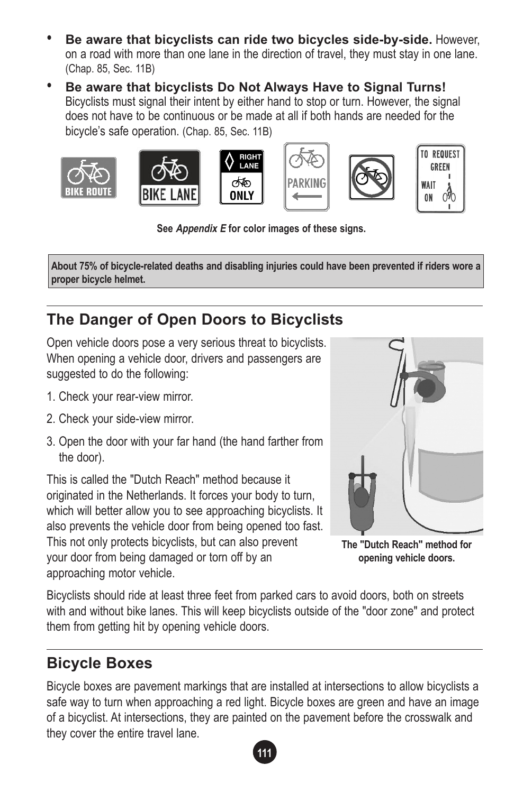- **Be aware that bicyclists can ride two bicycles side-by-side.** However, on a road with more than one lane in the direction of travel, they must stay in one lane. (Chap. 85, Sec. 11B)
- **Be aware that bicyclists Do Not Always Have to Signal Turns!** Bicyclists must signal their intent by either hand to stop or turn. However, the signal does not have to be continuous or be made at all if both hands are needed for the bicycle's safe operation. (Chap. 85, Sec. 11B)

**RIGHT** LANE

ශ්ර









**TO REQUEST** GRFFN WAIT  $\partial$ ON

**See Appendix E for color images of these signs.**

**About 75% of bicycle-related deaths and disabling injuries could have been prevented if riders wore a proper bicycle helmet.**

# **The Danger of Open Doors to Bicyclists**

Open vehicle doors pose a very serious threat to bicyclists. When opening a vehicle door, drivers and passengers are suggested to do the following:

- 1. Check your rear-view mirror.
- 2. Check your side-view mirror.
- 3. Open the door with your far hand (the hand farther from the door).

This is called the "Dutch Reach" method because it originated in the Netherlands. It forces your body to turn, which will better allow you to see approaching bicyclists. It also prevents the vehicle door from being opened too fast. This not only protects bicyclists, but can also prevent your door from being damaged or torn off by an approaching motor vehicle.



**The "Dutch Reach" method for opening vehicle doors.**

Bicyclists should ride at least three feet from parked cars to avoid doors, both on streets with and without bike lanes. This will keep bicyclists outside of the "door zone" and protect them from getting hit by opening vehicle doors.

## **Bicycle Boxes**

Bicycle boxes are pavement markings that are installed at intersections to allow bicyclists a safe way to turn when approaching a red light. Bicycle boxes are green and have an image of a bicyclist. At intersections, they are painted on the pavement before the crosswalk and they cover the entire travel lane.